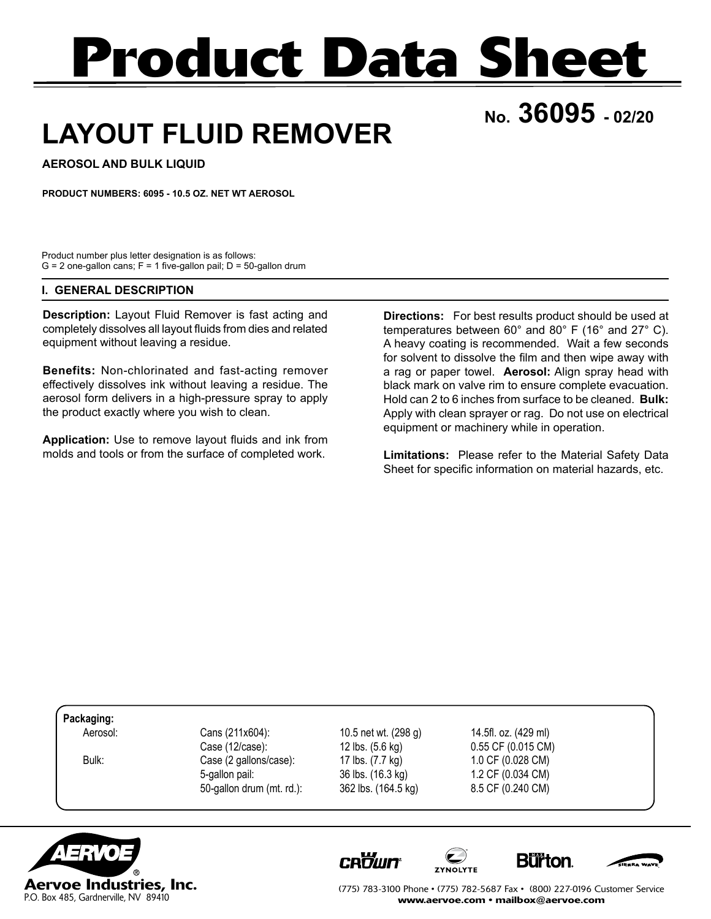# **Product Data Sheet**

## **No. 36095 - 02/20**

## **LAYOUT FLUID REMOVER**

**AEROSOL AND BULK LIQUID**

**PRODUCT NUMBERS: 6095 - 10.5 OZ. NET WT AEROSOL**

Product number plus letter designation is as follows:  $G = 2$  one-gallon cans;  $F = 1$  five-gallon pail;  $D = 50$ -gallon drum

#### **I. GENERAL DESCRIPTION**

**Description:** Layout Fluid Remover is fast acting and completely dissolves all layout fluids from dies and related equipment without leaving a residue.

**Benefits:** Non-chlorinated and fast-acting remover effectively dissolves ink without leaving a residue. The aerosol form delivers in a high-pressure spray to apply the product exactly where you wish to clean.

**Application:** Use to remove layout fluids and ink from molds and tools or from the surface of completed work.

**Directions:** For best results product should be used at temperatures between 60° and 80° F (16° and 27° C). A heavy coating is recommended. Wait a few seconds for solvent to dissolve the film and then wipe away with a rag or paper towel. **Aerosol:** Align spray head with black mark on valve rim to ensure complete evacuation. Hold can 2 to 6 inches from surface to be cleaned. **Bulk:** Apply with clean sprayer or rag. Do not use on electrical equipment or machinery while in operation.

**Limitations:** Please refer to the Material Safety Data Sheet for specific information on material hazards, etc.

**Packaging:**

Aerosol: Cans (211x604): 10.5 net wt. (298 g) 14.5fl. oz. (429 ml)<br>Case (12/case): 12 lbs. (5.6 kg) 0.55 CF (0.015 CM Bulk: Case (2 gallons/case): 17 lbs. (7.7 kg) 1.0 CF (0.028 CM) 5-gallon pail: 36 lbs. (16.3 kg) 1.2 CF (0.034 CM) 50-gallon drum (mt. rd.): 362 lbs. (164.5 kg) 8.5 CF (0.240 CM)

12 lbs. (5.6 kg) 0.55 CF (0.015 CM)











(775) 783-3100 Phone • (775) 782-5687 Fax • (800) 227-0196 Customer Service www.aervoe.com • mailbox@aervoe.com